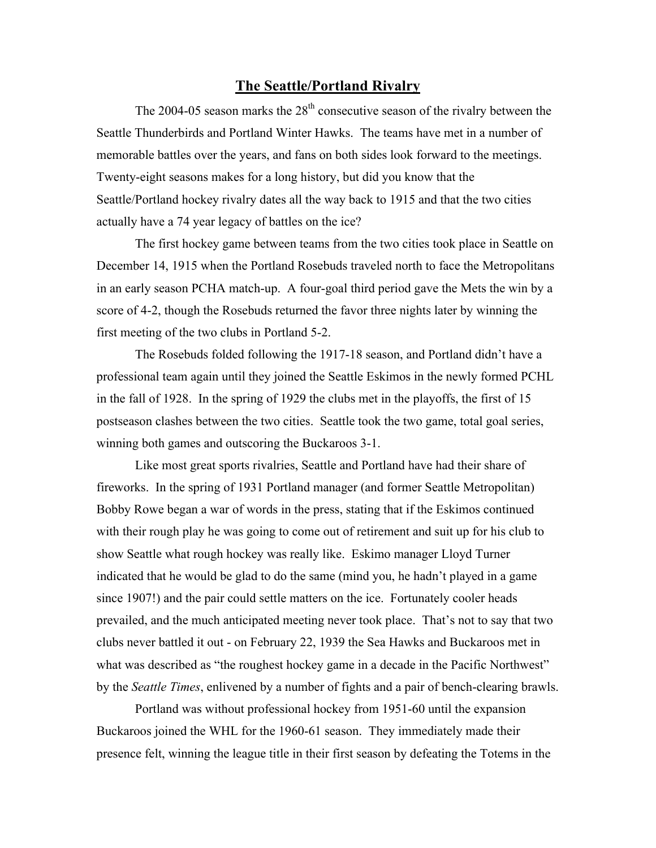## **The Seattle/Portland Rivalry**

The 2004-05 season marks the  $28<sup>th</sup>$  consecutive season of the rivalry between the Seattle Thunderbirds and Portland Winter Hawks. The teams have met in a number of memorable battles over the years, and fans on both sides look forward to the meetings. Twenty-eight seasons makes for a long history, but did you know that the Seattle/Portland hockey rivalry dates all the way back to 1915 and that the two cities actually have a 74 year legacy of battles on the ice?

The first hockey game between teams from the two cities took place in Seattle on December 14, 1915 when the Portland Rosebuds traveled north to face the Metropolitans in an early season PCHA match-up. A four-goal third period gave the Mets the win by a score of 4-2, though the Rosebuds returned the favor three nights later by winning the first meeting of the two clubs in Portland 5-2.

The Rosebuds folded following the 1917-18 season, and Portland didn't have a professional team again until they joined the Seattle Eskimos in the newly formed PCHL in the fall of 1928. In the spring of 1929 the clubs met in the playoffs, the first of 15 postseason clashes between the two cities. Seattle took the two game, total goal series, winning both games and outscoring the Buckaroos 3-1.

Like most great sports rivalries, Seattle and Portland have had their share of fireworks. In the spring of 1931 Portland manager (and former Seattle Metropolitan) Bobby Rowe began a war of words in the press, stating that if the Eskimos continued with their rough play he was going to come out of retirement and suit up for his club to show Seattle what rough hockey was really like. Eskimo manager Lloyd Turner indicated that he would be glad to do the same (mind you, he hadn't played in a game since 1907!) and the pair could settle matters on the ice. Fortunately cooler heads prevailed, and the much anticipated meeting never took place. That's not to say that two clubs never battled it out - on February 22, 1939 the Sea Hawks and Buckaroos met in what was described as "the roughest hockey game in a decade in the Pacific Northwest" by the *Seattle Times*, enlivened by a number of fights and a pair of bench-clearing brawls.

Portland was without professional hockey from 1951-60 until the expansion Buckaroos joined the WHL for the 1960-61 season. They immediately made their presence felt, winning the league title in their first season by defeating the Totems in the